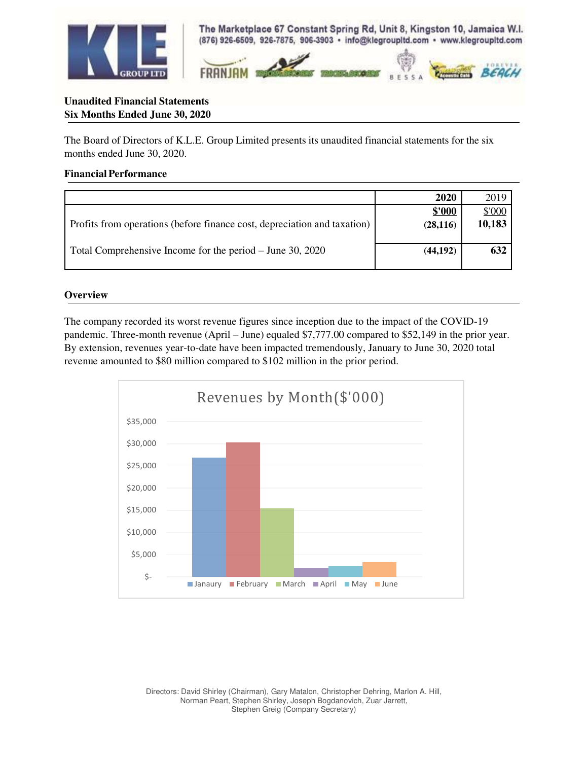

The Marketplace 67 Constant Spring Rd, Unit 8, Kingston 10, Jamaica W.I. (876) 926-6509, 926-7875, 906-3903 · info@klegroupItd.com · www.klegroupItd.com



# **Unaudited Financial Statements Six Months Ended June 30, 2020**

The Board of Directors of K.L.E. Group Limited presents its unaudited financial statements for the six months ended June 30, 2020.

## **Financial Performance**

|                                                                          | <b>2020</b> | 2019   |
|--------------------------------------------------------------------------|-------------|--------|
|                                                                          | \$'000      | \$'000 |
| Profits from operations (before finance cost, depreciation and taxation) | (28, 116)   | 10,183 |
|                                                                          |             |        |
| Total Comprehensive Income for the period $-$ June 30, 2020              | (44, 192)   | 632    |
|                                                                          |             |        |

#### **Overview**

The company recorded its worst revenue figures since inception due to the impact of the COVID-19 pandemic. Three-month revenue (April – June) equaled \$7,777.00 compared to \$52,149 in the prior year. By extension, revenues year-to-date have been impacted tremendously, January to June 30, 2020 total revenue amounted to \$80 million compared to \$102 million in the prior period.

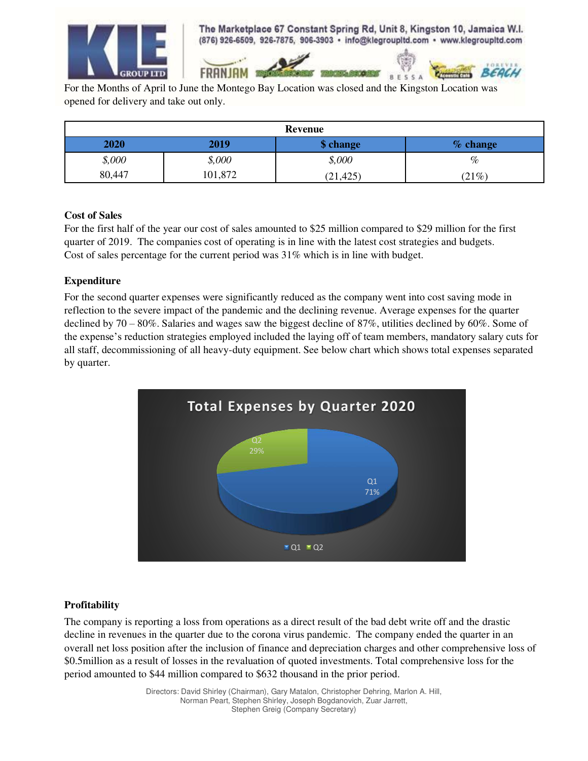

The Marketplace 67 Constant Spring Rd, Unit 8, Kingston 10, Jamaica W.I. (876) 926-6509, 926-7875, 906-3903 · info@klegroupitd.com · www.klegroupitd.com

**BESSA** 

For the Months of April to June the Montego Bay Location was closed and the Kingston Location was opened for delivery and take out only.

**FRANJAM** 

| <b>Revenue</b> |         |           |            |
|----------------|---------|-----------|------------|
| 2020           | 2019    | \$ change | $%$ change |
| \$,000         | \$,000  | \$,000    | %          |
| 80,447         | 101,872 | (21, 425) | (21%)      |

## **Cost of Sales**

For the first half of the year our cost of sales amounted to \$25 million compared to \$29 million for the first quarter of 2019. The companies cost of operating is in line with the latest cost strategies and budgets. Cost of sales percentage for the current period was 31% which is in line with budget.

## **Expenditure**

For the second quarter expenses were significantly reduced as the company went into cost saving mode in reflection to the severe impact of the pandemic and the declining revenue. Average expenses for the quarter declined by 70 – 80%. Salaries and wages saw the biggest decline of 87%, utilities declined by 60%. Some of the expense's reduction strategies employed included the laying off of team members, mandatory salary cuts for all staff, decommissioning of all heavy-duty equipment. See below chart which shows total expenses separated by quarter.



# **Profitability**

The company is reporting a loss from operations as a direct result of the bad debt write off and the drastic decline in revenues in the quarter due to the corona virus pandemic. The company ended the quarter in an overall net loss position after the inclusion of finance and depreciation charges and other comprehensive loss of \$0.5million as a result of losses in the revaluation of quoted investments. Total comprehensive loss for the period amounted to \$44 million compared to \$632 thousand in the prior period.